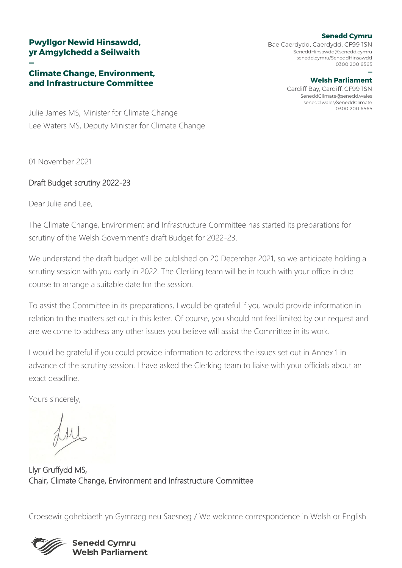**Pwyllgor Newid Hinsawdd, yr Amgylchedd a Seilwaith**

**Climate Change, Environment, and Infrastructure Committee**

**Senedd Cymru** Bae Caerdydd, Caerdydd, CF99 1SN [SeneddHinsawdd@senedd.cymru](mailto:SeneddHinsawdd@senedd.cymru) senedd.cymru/SeneddHinsawdd 0300 200 6565

#### **— Welsh Parliament**

Cardiff Bay, Cardiff, CF99 1SN [SeneddClimate@senedd.wales](mailto:SeneddClimate@senedd.wales) senedd.wales/SeneddClimate

0300 200 6565 Julie James MS, Minister for Climate Change Lee Waters MS, Deputy Minister for Climate Change

01 November 2021

**—**

#### Draft Budget scrutiny 2022-23

Dear Julie and Lee,

The Climate Change, Environment and Infrastructure Committee has started its preparations for scrutiny of the Welsh Government's draft Budget for 2022-23.

We understand the draft budget will be published on 20 December 2021, so we anticipate holding a scrutiny session with you early in 2022. The Clerking team will be in touch with your office in due course to arrange a suitable date for the session.

To assist the Committee in its preparations, I would be grateful if you would provide information in relation to the matters set out in this letter. Of course, you should not feel limited by our request and are welcome to address any other issues you believe will assist the Committee in its work.

I would be grateful if you could provide information to address the issues set out in Annex 1 in advance of the scrutiny session. I have asked the Clerking team to liaise with your officials about an exact deadline.

Yours sincerely,

Llyr Gruffydd MS, Chair, Climate Change, Environment and Infrastructure Committee

Croesewir gohebiaeth yn Gymraeg neu Saesneg / We welcome correspondence in Welsh or English.



**Senedd Cymru Welsh Parliament**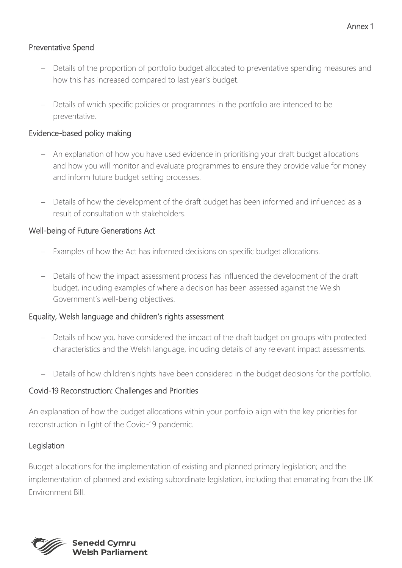# Preventative Spend

- − Details of the proportion of portfolio budget allocated to preventative spending measures and how this has increased compared to last year's budget.
- − Details of which specific policies or programmes in the portfolio are intended to be preventative.

## Evidence-based policy making

- − An explanation of how you have used evidence in prioritising your draft budget allocations and how you will monitor and evaluate programmes to ensure they provide value for money and inform future budget setting processes.
- − Details of how the development of the draft budget has been informed and influenced as a result of consultation with stakeholders.

## Well-being of Future Generations Act

- − Examples of how the Act has informed decisions on specific budget allocations.
- − Details of how the impact assessment process has influenced the development of the draft budget, including examples of where a decision has been assessed against the Welsh Government's well-being objectives.

# Equality, Welsh language and children's rights assessment

- − Details of how you have considered the impact of the draft budget on groups with protected characteristics and the Welsh language, including details of any relevant impact assessments.
- − Details of how children's rights have been considered in the budget decisions for the portfolio.

#### Covid-19 Reconstruction: Challenges and Priorities

An explanation of how the budget allocations within your portfolio align with the key priorities for reconstruction in light of the Covid-19 pandemic.

# Legislation

Budget allocations for the implementation of existing and planned primary legislation; and the implementation of planned and existing subordinate legislation, including that emanating from the UK Environment Bill.

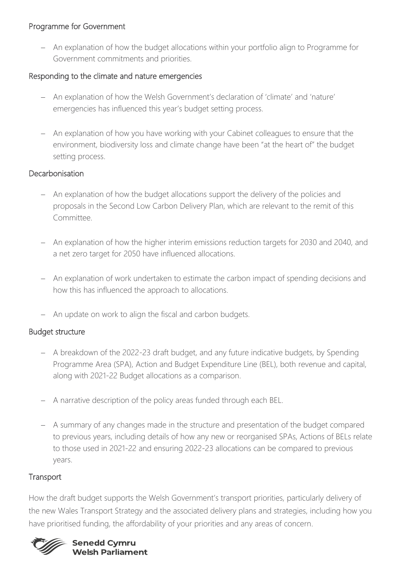# Programme for Government

− An explanation of how the budget allocations within your portfolio align to Programme for Government commitments and priorities.

# Responding to the climate and nature emergencies

- − An explanation of how the Welsh Government's declaration of 'climate' and 'nature' emergencies has influenced this year's budget setting process.
- − An explanation of how you have working with your Cabinet colleagues to ensure that the environment, biodiversity loss and climate change have been "at the heart of" the budget setting process.

#### **Decarbonisation**

- − An explanation of how the budget allocations support the delivery of the policies and proposals in the Second Low Carbon Delivery Plan, which are relevant to the remit of this Committee.
- − An explanation of how the higher interim emissions reduction targets for 2030 and 2040, and a net zero target for 2050 have influenced allocations.
- − An explanation of work undertaken to estimate the carbon impact of spending decisions and how this has influenced the approach to allocations.
- − An update on work to align the fiscal and carbon budgets.

# Budget structure

- − A breakdown of the 2022-23 draft budget, and any future indicative budgets, by Spending Programme Area (SPA), Action and Budget Expenditure Line (BEL), both revenue and capital, along with 2021-22 Budget allocations as a comparison.
- − A narrative description of the policy areas funded through each BEL.
- − A summary of any changes made in the structure and presentation of the budget compared to previous years, including details of how any new or reorganised SPAs, Actions of BELs relate to those used in 2021-22 and ensuring 2022-23 allocations can be compared to previous years.

#### **Transport**

How the draft budget supports the Welsh Government's transport priorities, particularly delivery of the new Wales Transport Strategy and the associated delivery plans and strategies, including how you have prioritised funding, the affordability of your priorities and any areas of concern.

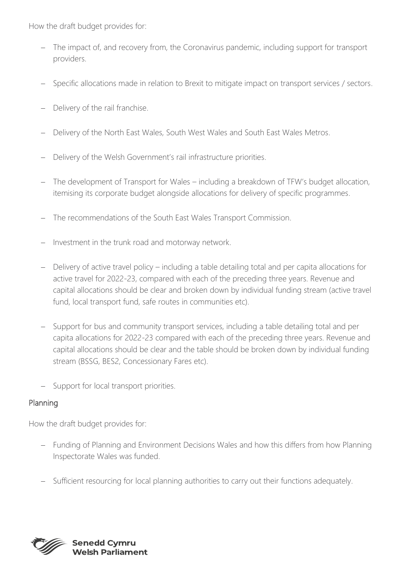How the draft budget provides for:

- − The impact of, and recovery from, the Coronavirus pandemic, including support for transport providers.
- − Specific allocations made in relation to Brexit to mitigate impact on transport services / sectors.
- − Delivery of the rail franchise.
- Delivery of the North East Wales, South West Wales and South East Wales Metros.
- − Delivery of the Welsh Government's rail infrastructure priorities.
- − The development of Transport for Wales including a breakdown of TFW's budget allocation, itemising its corporate budget alongside allocations for delivery of specific programmes.
- The recommendations of the South East Wales Transport Commission.
- − Investment in the trunk road and motorway network.
- − Delivery of active travel policy including a table detailing total and per capita allocations for active travel for 2022-23, compared with each of the preceding three years. Revenue and capital allocations should be clear and broken down by individual funding stream (active travel fund, local transport fund, safe routes in communities etc).
- − Support for bus and community transport services, including a table detailing total and per capita allocations for 2022-23 compared with each of the preceding three years. Revenue and capital allocations should be clear and the table should be broken down by individual funding stream (BSSG, BES2, Concessionary Fares etc).
- − Support for local transport priorities.

# Planning

How the draft budget provides for:

- − Funding of Planning and Environment Decisions Wales and how this differs from how Planning Inspectorate Wales was funded.
- − Sufficient resourcing for local planning authorities to carry out their functions adequately.

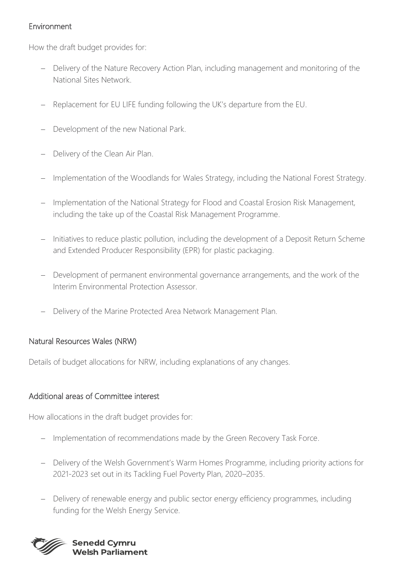#### Environment

How the draft budget provides for:

- − Delivery of the Nature Recovery Action Plan, including management and monitoring of the National Sites Network.
- − Replacement for EU LIFE funding following the UK's departure from the EU.
- − Development of the new National Park.
- − Delivery of the Clean Air Plan.
- − Implementation of the Woodlands for Wales Strategy, including the National Forest Strategy.
- − Implementation of the National Strategy for Flood and Coastal Erosion Risk Management, including the take up of the Coastal Risk Management Programme.
- − Initiatives to reduce plastic pollution, including the development of a Deposit Return Scheme and Extended Producer Responsibility (EPR) for plastic packaging.
- − Development of permanent environmental governance arrangements, and the work of the Interim Environmental Protection Assessor.
- − Delivery of the Marine Protected Area Network Management Plan.

# Natural Resources Wales (NRW)

Details of budget allocations for NRW, including explanations of any changes.

# Additional areas of Committee interest

How allocations in the draft budget provides for:

- − Implementation of recommendations made by the Green Recovery Task Force.
- − Delivery of the Welsh Government's Warm Homes Programme, including priority actions for 2021-2023 set out in its Tackling Fuel Poverty Plan, 2020–2035.
- Delivery of renewable energy and public sector energy efficiency programmes, including funding for the Welsh Energy Service.